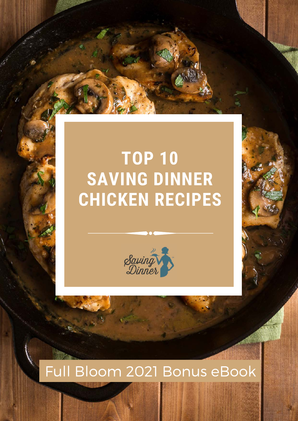



## Full Bloom 2021 Bonus eBook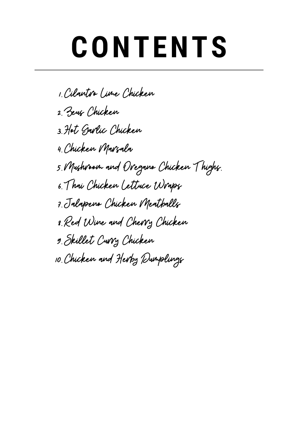# **CONTENTS**

Cilantro Lime Chicken 1. Zeus Chicken 2. Hot Garlic Chicken 3. Chicken Marsala 4. Mushroom and Oregano Chicken Thighs. 5. Thai Chicken Lettuce Wraps 6. Jalapeno Chicken Meatballs 7. Red Wine and Cherry Chicken 8. Skillet Curry Chicken 9. Chicken and Herby Dumplings 10.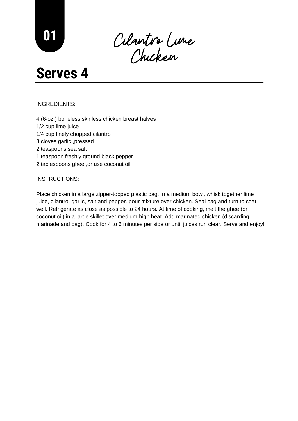Cilantro Lime Chicken

#### INGREDIENTS:

- 4 (6-oz.) boneless skinless chicken breast halves 1/2 cup lime juice 1/4 cup finely chopped cilantro 3 cloves garlic ,pressed
- 2 teaspoons sea salt
- 1 teaspoon freshly ground black pepper
- 2 tablespoons ghee ,or use coconut oil

#### INSTRUCTIONS:

Place chicken in a large zipper-topped plastic bag. In a medium bowl, whisk together lime juice, cilantro, garlic, salt and pepper. pour mixture over chicken. Seal bag and turn to coat well. Refrigerate as close as possible to 24 hours. At time of cooking, melt the ghee (or coconut oil) in a large skillet over medium-high heat. Add marinated chicken (discarding marinade and bag). Cook for 4 to 6 minutes per side or until juices run clear. Serve and enjoy!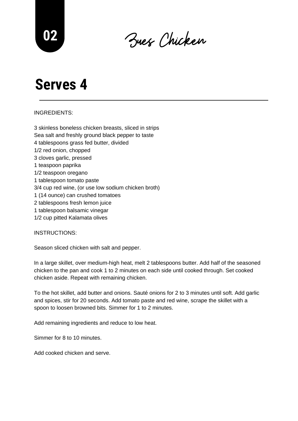Zues Chicken **<sup>02</sup>**

#### INGREDIENTS:

3 skinless boneless chicken breasts, sliced in strips Sea salt and freshly ground black pepper to taste 4 tablespoons grass fed butter, divided 1/2 red onion, chopped 3 cloves garlic, pressed 1 teaspoon paprika 1/2 teaspoon oregano 1 tablespoon tomato paste 3/4 cup red wine, (or use low sodium chicken broth) 1 (14 ounce) can crushed tomatoes 2 tablespoons fresh lemon juice 1 tablespoon balsamic vinegar 1/2 cup pitted Kalamata olives

INSTRUCTIONS:

Season sliced chicken with salt and pepper.

In a large skillet, over medium-high heat, melt 2 tablespoons butter. Add half of the seasoned chicken to the pan and cook 1 to 2 minutes on each side until cooked through. Set cooked chicken aside. Repeat with remaining chicken.

To the hot skillet, add butter and onions. Sauté onions for 2 to 3 minutes until soft. Add garlic and spices, stir for 20 seconds. Add tomato paste and red wine, scrape the skillet with a spoon to loosen browned bits. Simmer for 1 to 2 minutes.

Add remaining ingredients and reduce to low heat.

Simmer for 8 to 10 minutes.

Add cooked chicken and serve.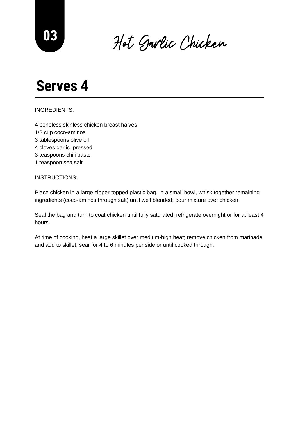Hot Garlic Chicken **<sup>03</sup>**

#### INGREDIENTS:

4 boneless skinless chicken breast halves 1/3 cup coco-aminos 3 tablespoons olive oil 4 cloves garlic ,pressed 3 teaspoons chili paste 1 teaspoon sea salt

#### INSTRUCTIONS:

Place chicken in a large zipper-topped plastic bag. In a small bowl, whisk together remaining ingredients (coco-aminos through salt) until well blended; pour mixture over chicken.

Seal the bag and turn to coat chicken until fully saturated; refrigerate overnight or for at least 4 hours.

At time of cooking, heat a large skillet over medium-high heat; remove chicken from marinade and add to skillet; sear for 4 to 6 minutes per side or until cooked through.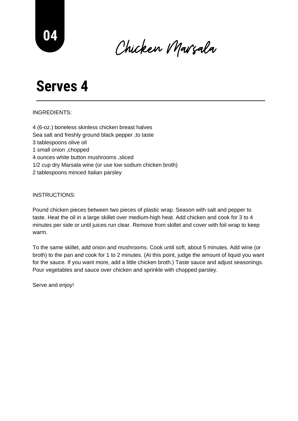Chicken Marsala **<sup>04</sup>**

#### INGREDIENTS:

4 (6-oz.) boneless skinless chicken breast halves Sea salt and freshly ground black pepper ,to taste 3 tablespoons olive oil 1 small onion ,chopped 4 ounces white button mushrooms ,sliced 1/2 cup dry Marsala wine (or use low sodium chicken broth) 2 tablespoons minced Italian parsley

INSTRUCTIONS:

Pound chicken pieces between two pieces of plastic wrap. Season with salt and pepper to taste. Heat the oil in a large skillet over medium-high heat. Add chicken and cook for 3 to 4 minutes per side or until juices run clear. Remove from skillet and cover with foil wrap to keep warm.

To the same skillet, add onion and mushrooms. Cook until soft, about 5 minutes. Add wine (or broth) to the pan and cook for 1 to 2 minutes. (At this point, judge the amount of liquid you want for the sauce. If you want more, add a little chicken broth.) Taste sauce and adjust seasonings. Pour vegetables and sauce over chicken and sprinkle with chopped parsley.

Serve and enjoy!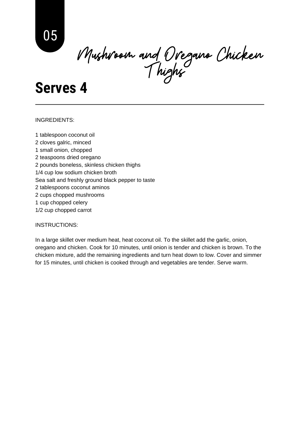Mushroom and Oregano Chicken Thighs

#### INGREDIENTS:

1 tablespoon coconut oil 2 cloves galric, minced 1 small onion, chopped 2 teaspoons dried oregano 2 pounds boneless, skinless chicken thighs 1/4 cup low sodium chicken broth Sea salt and freshly ground black pepper to taste 2 tablespoons coconut aminos 2 cups chopped mushrooms 1 cup chopped celery 1/2 cup chopped carrot

#### INSTRUCTIONS:

In a large skillet over medium heat, heat coconut oil. To the skillet add the garlic, onion, oregano and chicken. Cook for 10 minutes, until onion is tender and chicken is brown. To the chicken mixture, add the remaining ingredients and turn heat down to low. Cover and simmer for 15 minutes, until chicken is cooked through and vegetables are tender. Serve warm.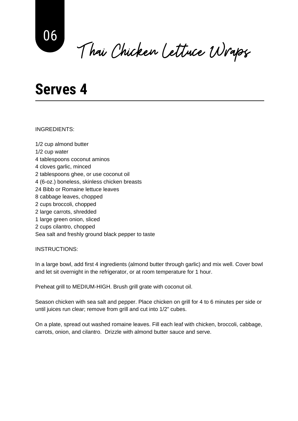Thai Chicken Lettuce Wraps

INGREDIENTS:

1/2 cup almond butter 1/2 cup water 4 tablespoons coconut aminos 4 cloves garlic, minced 2 tablespoons ghee, or use coconut oil 4 (6-oz.) boneless, skinless chicken breasts 24 Bibb or Romaine lettuce leaves 8 cabbage leaves, chopped 2 cups broccoli, chopped 2 large carrots, shredded 1 large green onion, sliced 2 cups cilantro, chopped Sea salt and freshly ground black pepper to taste

INSTRUCTIONS:

In a large bowl, add first 4 ingredients (almond butter through garlic) and mix well. Cover bowl and let sit overnight in the refrigerator, or at room temperature for 1 hour.

Preheat grill to MEDIUM-HIGH. Brush grill grate with coconut oil.

Season chicken with sea salt and pepper. Place chicken on grill for 4 to 6 minutes per side or until juices run clear; remove from grill and cut into 1/2" cubes.

On a plate, spread out washed romaine leaves. Fill each leaf with chicken, broccoli, cabbage, carrots, onion, and cilantro. Drizzle with almond butter sauce and serve.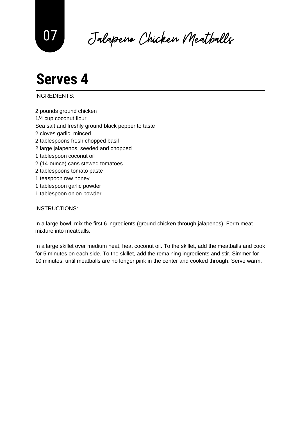Jalapeno Chicken Meatballs 07

INGREDIENTS:

- 2 pounds ground chicken 1/4 cup coconut flour Sea salt and freshly ground black pepper to taste 2 cloves garlic, minced 2 tablespoons fresh chopped basil 2 large jalapenos, seeded and chopped 1 tablespoon coconut oil 2 (14-ounce) cans stewed tomatoes 2 tablespoons tomato paste 1 teaspoon raw honey 1 tablespoon garlic powder
- 1 tablespoon onion powder

#### INSTRUCTIONS:

In a large bowl, mix the first 6 ingredients (ground chicken through jalapenos). Form meat mixture into meatballs.

In a large skillet over medium heat, heat coconut oil. To the skillet, add the meatballs and cook for 5 minutes on each side. To the skillet, add the remaining ingredients and stir. Simmer for 10 minutes, until meatballs are no longer pink in the center and cooked through. Serve warm.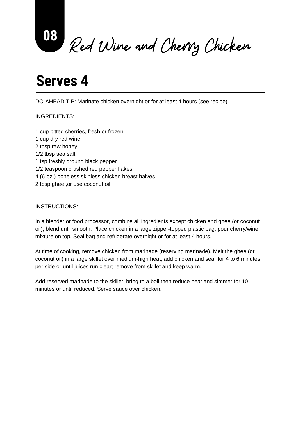Red Wine and Cherry Chicken **<sup>08</sup>**

DO-AHEAD TIP: Marinate chicken overnight or for at least 4 hours (see recipe).

#### INGREDIENTS:

1 cup pitted cherries, fresh or frozen 1 cup dry red wine 2 tbsp raw honey 1/2 tbsp sea salt 1 tsp freshly ground black pepper 1/2 teaspoon crushed red pepper flakes 4 (6-oz.) boneless skinless chicken breast halves 2 tbsp ghee ,or use coconut oil

#### INSTRUCTIONS:

In a blender or food processor, combine all ingredients except chicken and ghee (or coconut oil); blend until smooth. Place chicken in a large zipper-topped plastic bag; pour cherry/wine mixture on top. Seal bag and refrigerate overnight or for at least 4 hours.

At time of cooking, remove chicken from marinade (reserving marinade). Melt the ghee (or coconut oil) in a large skillet over medium-high heat; add chicken and sear for 4 to 6 minutes per side or until juices run clear; remove from skillet and keep warm.

Add reserved marinade to the skillet; bring to a boil then reduce heat and simmer for 10 minutes or until reduced. Serve sauce over chicken.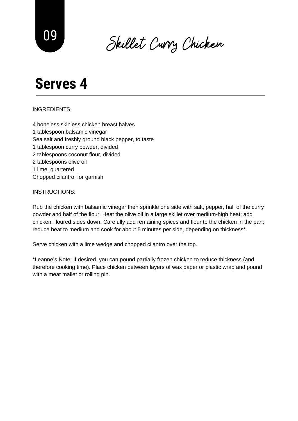Skillet Curry Chicken <sup>09</sup>

#### INGREDIENTS:

4 boneless skinless chicken breast halves 1 tablespoon balsamic vinegar Sea salt and freshly ground black pepper, to taste 1 tablespoon curry powder, divided 2 tablespoons coconut flour, divided 2 tablespoons olive oil 1 lime, quartered Chopped cilantro, for garnish

#### INSTRUCTIONS:

Rub the chicken with balsamic vinegar then sprinkle one side with salt, pepper, half of the curry powder and half of the flour. Heat the olive oil in a large skillet over medium-high heat; add chicken, floured sides down. Carefully add remaining spices and flour to the chicken in the pan; reduce heat to medium and cook for about 5 minutes per side, depending on thickness\*.

Serve chicken with a lime wedge and chopped cilantro over the top.

\*Leanne's Note: If desired, you can pound partially frozen chicken to reduce thickness (and therefore cooking time). Place chicken between layers of wax paper or plastic wrap and pound with a meat mallet or rolling pin.